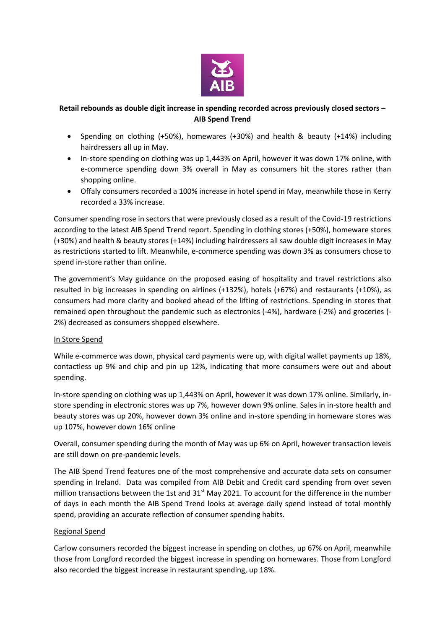

# **Retail rebounds as double digit increase in spending recorded across previously closed sectors – AIB Spend Trend**

- Spending on clothing (+50%), homewares (+30%) and health & beauty (+14%) including hairdressers all up in May.
- In-store spending on clothing was up 1,443% on April, however it was down 17% online, with e-commerce spending down 3% overall in May as consumers hit the stores rather than shopping online.
- Offaly consumers recorded a 100% increase in hotel spend in May, meanwhile those in Kerry recorded a 33% increase.

Consumer spending rose in sectors that were previously closed as a result of the Covid-19 restrictions according to the latest AIB Spend Trend report. Spending in clothing stores (+50%), homeware stores (+30%) and health & beauty stores (+14%) including hairdressers all saw double digit increases in May as restrictions started to lift. Meanwhile, e-commerce spending was down 3% as consumers chose to spend in-store rather than online.

The government's May guidance on the proposed easing of hospitality and travel restrictions also resulted in big increases in spending on airlines (+132%), hotels (+67%) and restaurants (+10%), as consumers had more clarity and booked ahead of the lifting of restrictions. Spending in stores that remained open throughout the pandemic such as electronics (-4%), hardware (-2%) and groceries (- 2%) decreased as consumers shopped elsewhere.

## In Store Spend

While e-commerce was down, physical card payments were up, with digital wallet payments up 18%. contactless up 9% and chip and pin up 12%, indicating that more consumers were out and about spending.

In-store spending on clothing was up 1,443% on April, however it was down 17% online. Similarly, instore spending in electronic stores was up 7%, however down 9% online. Sales in in-store health and beauty stores was up 20%, however down 3% online and in-store spending in homeware stores was up 107%, however down 16% online

Overall, consumer spending during the month of May was up 6% on April, however transaction levels are still down on pre-pandemic levels.

The AIB Spend Trend features one of the most comprehensive and accurate data sets on consumer spending in Ireland. Data was compiled from AIB Debit and Credit card spending from over seven million transactions between the 1st and  $31<sup>st</sup>$  May 2021. To account for the difference in the number of days in each month the AIB Spend Trend looks at average daily spend instead of total monthly spend, providing an accurate reflection of consumer spending habits.

## Regional Spend

Carlow consumers recorded the biggest increase in spending on clothes, up 67% on April, meanwhile those from Longford recorded the biggest increase in spending on homewares. Those from Longford also recorded the biggest increase in restaurant spending, up 18%.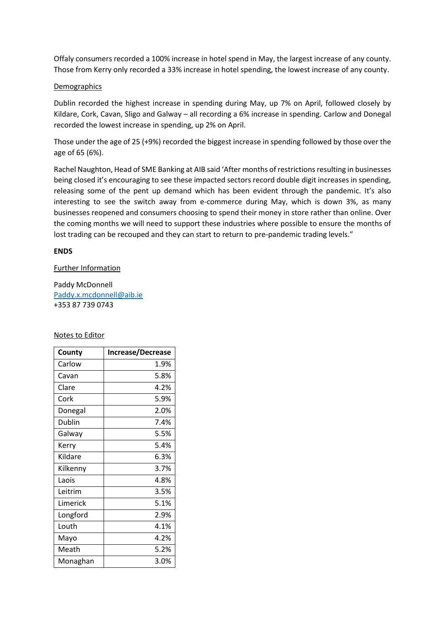Offaly consumers recorded a 100% increase in hotel spend in May, the largest increase of any county. Those from Kerry only recorded a 33% increase in hotel spending, the lowest increase of any county.

#### Demographics

Dublin recorded the highest increase in spending during May, up 7% on April, followed closely by Kildare, Cork, Cavan, Sligo and Galway – all recording a 6% increase in spending. Carlow and Donegal recorded the lowest increase in spending, up 2% on April.

Those under the age of 25 (+9%) recorded the biggest increase in spending followed by those over the age of 65 (6%).

Rachel Naughton, Head of SME Banking at AIB said 'After months of restrictions resulting in businesses being closed it's encouraging to see these impacted sectors record double digit increases in spending, releasing some of the pent up demand which has been evident through the pandemic. It's also interesting to see the switch away from e-commerce during May, which is down 3%, as many businesses reopened and consumers choosing to spend their money in store rather than online. Over the coming months we will need to support these industries where possible to ensure the months of lost trading can be recouped and they can start to return to pre-pandemic trading levels."

### **ENDS**

### Further Information

Paddy McDonnell [Paddy.x.mcdonnell@aib.ie](mailto:Paddy.x.mcdonnell@aib.ie) +353 87 739 0743

#### Notes to Editor

| County   | <b>Increase/Decrease</b> |
|----------|--------------------------|
| Carlow   | 1.9%                     |
| Cavan    | 5.8%                     |
| Clare    | 4.2%                     |
| Cork     | 5.9%                     |
| Donegal  | 2.0%                     |
| Dublin   | 7.4%                     |
| Galway   | 5.5%                     |
| Kerry    | 5.4%                     |
| Kildare  | 6.3%                     |
| Kilkenny | 3.7%                     |
| Laois    | 4.8%                     |
| Leitrim  | 3.5%                     |
| Limerick | 5.1%                     |
| Longford | 2.9%                     |
| Louth    | 4.1%                     |
| Mayo     | 4.2%                     |
| Meath    | 5.2%                     |
| Monaghan | 3.0%                     |